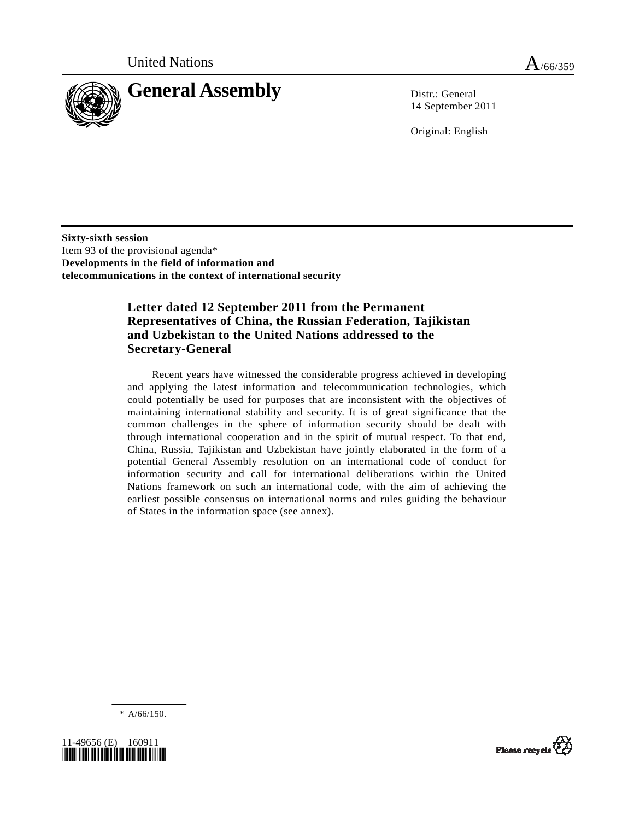

14 September 2011

Original: English

**Sixty-sixth session**  Item 93 of the provisional agenda\* **Developments in the field of information and telecommunications in the context of international security** 

# **Letter dated 12 September 2011 from the Permanent Representatives of China, the Russian Federation, Tajikistan and Uzbekistan to the United Nations addressed to the Secretary-General**

 Recent years have witnessed the considerable progress achieved in developing and applying the latest information and telecommunication technologies, which could potentially be used for purposes that are inconsistent with the objectives of maintaining international stability and security. It is of great significance that the common challenges in the sphere of information security should be dealt with through international cooperation and in the spirit of mutual respect. To that end, China, Russia, Tajikistan and Uzbekistan have jointly elaborated in the form of a potential General Assembly resolution on an international code of conduct for information security and call for international deliberations within the United Nations framework on such an international code, with the aim of achieving the earliest possible consensus on international norms and rules guiding the behaviour of States in the information space (see annex).

\* A/66/150.



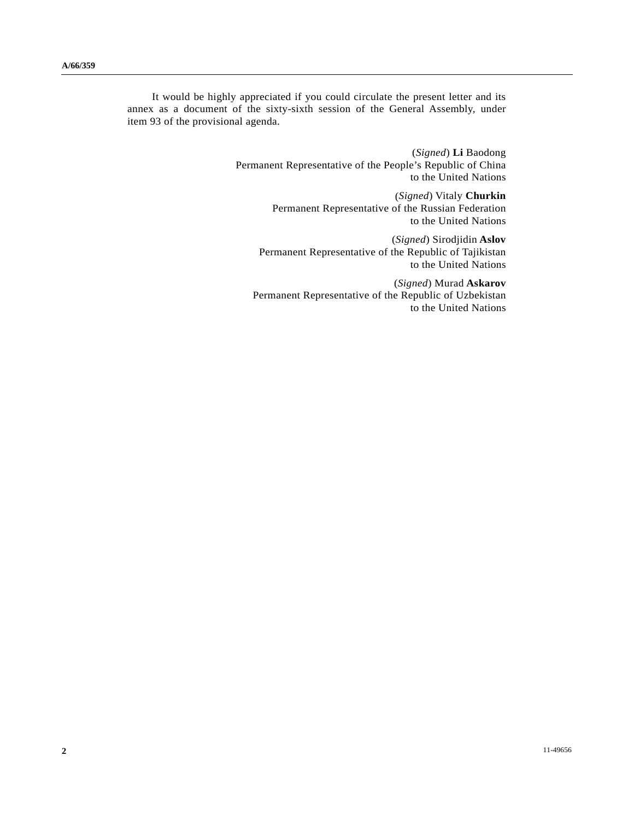It would be highly appreciated if you could circulate the present letter and its annex as a document of the sixty-sixth session of the General Assembly, under item 93 of the provisional agenda.

> (*Signed*) **Li** Baodong Permanent Representative of the People's Republic of China to the United Nations

> > (*Signed*) Vitaly **Churkin** Permanent Representative of the Russian Federation to the United Nations

(*Signed*) Sirodjidin **Aslov** Permanent Representative of the Republic of Tajikistan to the United Nations

(*Signed*) Murad **Askarov** Permanent Representative of the Republic of Uzbekistan to the United Nations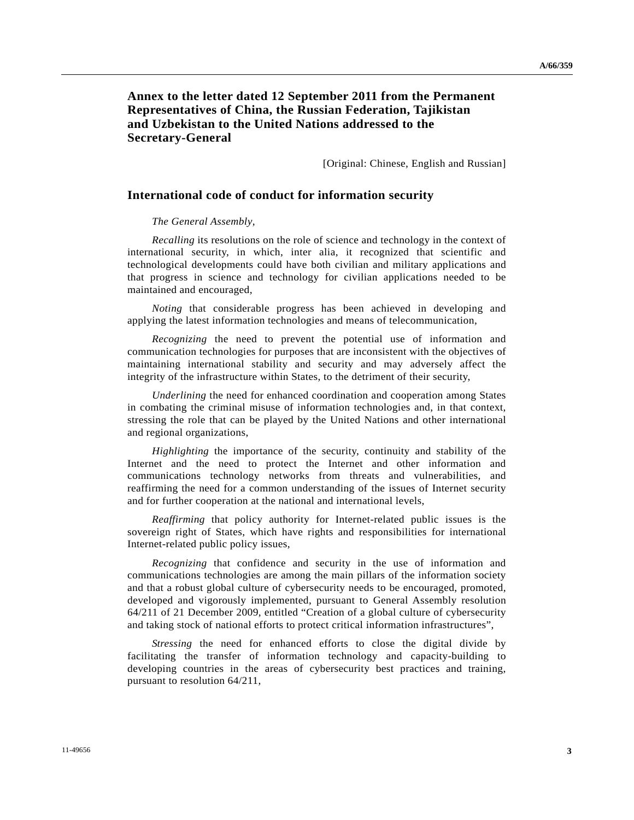## **Annex to the letter dated 12 September 2011 from the Permanent Representatives of China, the Russian Federation, Tajikistan and Uzbekistan to the United Nations addressed to the Secretary-General**

[Original: Chinese, English and Russian]

### **International code of conduct for information security**

#### *The General Assembly*,

*Recalling* its resolutions on the role of science and technology in the context of international security, in which, inter alia, it recognized that scientific and technological developments could have both civilian and military applications and that progress in science and technology for civilian applications needed to be maintained and encouraged,

*Noting* that considerable progress has been achieved in developing and applying the latest information technologies and means of telecommunication,

*Recognizing* the need to prevent the potential use of information and communication technologies for purposes that are inconsistent with the objectives of maintaining international stability and security and may adversely affect the integrity of the infrastructure within States, to the detriment of their security,

*Underlining* the need for enhanced coordination and cooperation among States in combating the criminal misuse of information technologies and, in that context, stressing the role that can be played by the United Nations and other international and regional organizations,

*Highlighting* the importance of the security, continuity and stability of the Internet and the need to protect the Internet and other information and communications technology networks from threats and vulnerabilities, and reaffirming the need for a common understanding of the issues of Internet security and for further cooperation at the national and international levels,

*Reaffirming* that policy authority for Internet-related public issues is the sovereign right of States, which have rights and responsibilities for international Internet-related public policy issues,

*Recognizing* that confidence and security in the use of information and communications technologies are among the main pillars of the information society and that a robust global culture of cybersecurity needs to be encouraged, promoted, developed and vigorously implemented, pursuant to General Assembly resolution 64/211 of 21 December 2009, entitled "Creation of a global culture of cybersecurity and taking stock of national efforts to protect critical information infrastructures",

*Stressing* the need for enhanced efforts to close the digital divide by facilitating the transfer of information technology and capacity-building to developing countries in the areas of cybersecurity best practices and training, pursuant to resolution 64/211,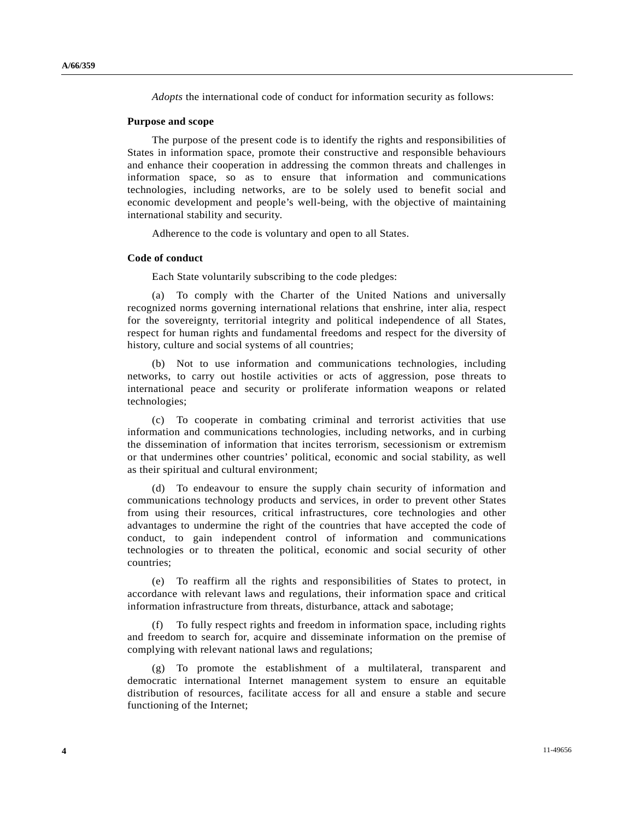*Adopts* the international code of conduct for information security as follows:

#### **Purpose and scope**

 The purpose of the present code is to identify the rights and responsibilities of States in information space, promote their constructive and responsible behaviours and enhance their cooperation in addressing the common threats and challenges in information space, so as to ensure that information and communications technologies, including networks, are to be solely used to benefit social and economic development and people's well-being, with the objective of maintaining international stability and security.

Adherence to the code is voluntary and open to all States.

#### **Code of conduct**

Each State voluntarily subscribing to the code pledges:

 (a) To comply with the Charter of the United Nations and universally recognized norms governing international relations that enshrine, inter alia, respect for the sovereignty, territorial integrity and political independence of all States, respect for human rights and fundamental freedoms and respect for the diversity of history, culture and social systems of all countries;

 (b) Not to use information and communications technologies, including networks, to carry out hostile activities or acts of aggression, pose threats to international peace and security or proliferate information weapons or related technologies;

 (c) To cooperate in combating criminal and terrorist activities that use information and communications technologies, including networks, and in curbing the dissemination of information that incites terrorism, secessionism or extremism or that undermines other countries' political, economic and social stability, as well as their spiritual and cultural environment;

 (d) To endeavour to ensure the supply chain security of information and communications technology products and services, in order to prevent other States from using their resources, critical infrastructures, core technologies and other advantages to undermine the right of the countries that have accepted the code of conduct, to gain independent control of information and communications technologies or to threaten the political, economic and social security of other countries;

 (e) To reaffirm all the rights and responsibilities of States to protect, in accordance with relevant laws and regulations, their information space and critical information infrastructure from threats, disturbance, attack and sabotage;

To fully respect rights and freedom in information space, including rights and freedom to search for, acquire and disseminate information on the premise of complying with relevant national laws and regulations;

 (g) To promote the establishment of a multilateral, transparent and democratic international Internet management system to ensure an equitable distribution of resources, facilitate access for all and ensure a stable and secure functioning of the Internet;